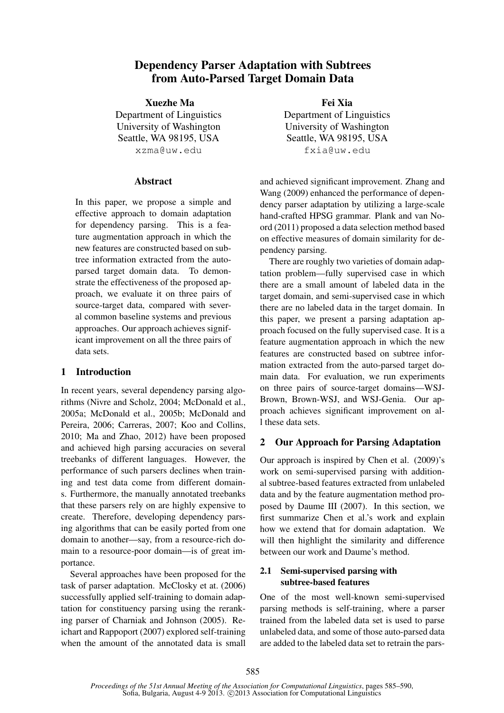# Dependency Parser Adaptation with Subtrees from Auto-Parsed Target Domain Data

Xuezhe Ma Department of Linguistics University of Washington Seattle, WA 98195, USA xzma@uw.edu

### Abstract

In this paper, we propose a simple and effective approach to domain adaptation for dependency parsing. This is a feature augmentation approach in which the new features are constructed based on subtree information extracted from the autoparsed target domain data. To demonstrate the effectiveness of the proposed approach, we evaluate it on three pairs of source-target data, compared with several common baseline systems and previous approaches. Our approach achieves significant improvement on all the three pairs of data sets.

## 1 Introduction

In recent years, several dependency parsing algorithms (Nivre and Scholz, 2004; McDonald et al., 2005a; McDonald et al., 2005b; McDonald and Pereira, 2006; Carreras, 2007; Koo and Collins, 2010; Ma and Zhao, 2012) have been proposed and achieved high parsing accuracies on several treebanks of different languages. However, the performance of such parsers declines when training and test data come from different domains. Furthermore, the manually annotated treebanks that these parsers rely on are highly expensive to create. Therefore, developing dependency parsing algorithms that can be easily ported from one domain to another—say, from a resource-rich domain to a resource-poor domain—is of great importance.

Several approaches have been proposed for the task of parser adaptation. McClosky et at. (2006) successfully applied self-training to domain adaptation for constituency parsing using the reranking parser of Charniak and Johnson (2005). Reichart and Rappoport (2007) explored self-training when the amount of the annotated data is small

Fei Xia Department of Linguistics University of Washington Seattle, WA 98195, USA fxia@uw.edu

and achieved significant improvement. Zhang and Wang (2009) enhanced the performance of dependency parser adaptation by utilizing a large-scale hand-crafted HPSG grammar. Plank and van Noord (2011) proposed a data selection method based on effective measures of domain similarity for dependency parsing.

There are roughly two varieties of domain adaptation problem—fully supervised case in which there are a small amount of labeled data in the target domain, and semi-supervised case in which there are no labeled data in the target domain. In this paper, we present a parsing adaptation approach focused on the fully supervised case. It is a feature augmentation approach in which the new features are constructed based on subtree information extracted from the auto-parsed target domain data. For evaluation, we run experiments on three pairs of source-target domains—WSJ-Brown, Brown-WSJ, and WSJ-Genia. Our approach achieves significant improvement on all these data sets.

## 2 Our Approach for Parsing Adaptation

Our approach is inspired by Chen et al. (2009)'s work on semi-supervised parsing with additional subtree-based features extracted from unlabeled data and by the feature augmentation method proposed by Daume III (2007). In this section, we first summarize Chen et al.'s work and explain how we extend that for domain adaptation. We will then highlight the similarity and difference between our work and Daume's method.

### 2.1 Semi-supervised parsing with subtree-based features

One of the most well-known semi-supervised parsing methods is self-training, where a parser trained from the labeled data set is used to parse unlabeled data, and some of those auto-parsed data are added to the labeled data set to retrain the pars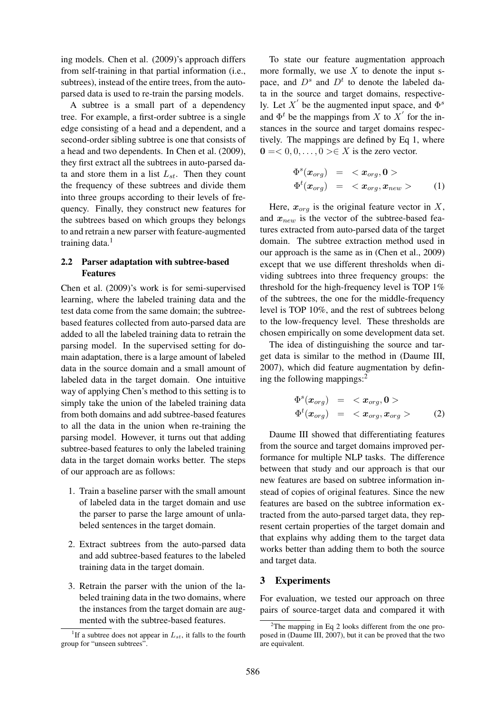ing models. Chen et al. (2009)'s approach differs from self-training in that partial information (i.e., subtrees), instead of the entire trees, from the autoparsed data is used to re-train the parsing models.

A subtree is a small part of a dependency tree. For example, a first-order subtree is a single edge consisting of a head and a dependent, and a second-order sibling subtree is one that consists of a head and two dependents. In Chen et al. (2009), they first extract all the subtrees in auto-parsed data and store them in a list  $L_{st}$ . Then they count the frequency of these subtrees and divide them into three groups according to their levels of frequency. Finally, they construct new features for the subtrees based on which groups they belongs to and retrain a new parser with feature-augmented training data.<sup>1</sup>

### 2.2 Parser adaptation with subtree-based Features

Chen et al. (2009)'s work is for semi-supervised learning, where the labeled training data and the test data come from the same domain; the subtreebased features collected from auto-parsed data are added to all the labeled training data to retrain the parsing model. In the supervised setting for domain adaptation, there is a large amount of labeled data in the source domain and a small amount of labeled data in the target domain. One intuitive way of applying Chen's method to this setting is to simply take the union of the labeled training data from both domains and add subtree-based features to all the data in the union when re-training the parsing model. However, it turns out that adding subtree-based features to only the labeled training data in the target domain works better. The steps of our approach are as follows:

- 1. Train a baseline parser with the small amount of labeled data in the target domain and use the parser to parse the large amount of unlabeled sentences in the target domain.
- 2. Extract subtrees from the auto-parsed data and add subtree-based features to the labeled training data in the target domain.
- 3. Retrain the parser with the union of the labeled training data in the two domains, where the instances from the target domain are augmented with the subtree-based features.

To state our feature augmentation approach more formally, we use  $X$  to denote the input space, and  $D<sup>s</sup>$  and  $D<sup>t</sup>$  to denote the labeled data in the source and target domains, respectively. Let X' be the augmented input space, and  $\Phi^s$ and  $\Phi^t$  be the mappings from X to X' for the instances in the source and target domains respectively. The mappings are defined by Eq 1, where  $0 = 0, 0, \ldots, 0 > \in X$  is the zero vector.

$$
\begin{array}{rcl}\n\Phi^s(\boldsymbol{x}_{org}) & = < \boldsymbol{x}_{org}, \mathbf{0} > \\
\Phi^t(\boldsymbol{x}_{org}) & = < \boldsymbol{x}_{org}, \boldsymbol{x}_{new} > \tag{1}\n\end{array}
$$

Here,  $x_{org}$  is the original feature vector in X, and  $x_{new}$  is the vector of the subtree-based features extracted from auto-parsed data of the target domain. The subtree extraction method used in our approach is the same as in (Chen et al., 2009) except that we use different thresholds when dividing subtrees into three frequency groups: the threshold for the high-frequency level is TOP 1% of the subtrees, the one for the middle-frequency level is TOP 10%, and the rest of subtrees belong to the low-frequency level. These thresholds are chosen empirically on some development data set.

The idea of distinguishing the source and target data is similar to the method in (Daume III, 2007), which did feature augmentation by defining the following mappings:<sup>2</sup>

$$
\begin{array}{rcl}\n\Phi^s(\boldsymbol{x}_{org}) & = & < \boldsymbol{x}_{org}, \mathbf{0} > \\
\Phi^t(\boldsymbol{x}_{org}) & = & < \boldsymbol{x}_{org}, \boldsymbol{x}_{org} > \n\end{array} \tag{2}
$$

Daume III showed that differentiating features from the source and target domains improved performance for multiple NLP tasks. The difference between that study and our approach is that our new features are based on subtree information instead of copies of original features. Since the new features are based on the subtree information extracted from the auto-parsed target data, they represent certain properties of the target domain and that explains why adding them to the target data works better than adding them to both the source and target data.

#### 3 Experiments

For evaluation, we tested our approach on three pairs of source-target data and compared it with

<sup>&</sup>lt;sup>1</sup>If a subtree does not appear in  $L_{st}$ , it falls to the fourth group for "unseen subtrees".

 $2$ The mapping in Eq 2 looks different from the one proposed in (Daume III, 2007), but it can be proved that the two are equivalent.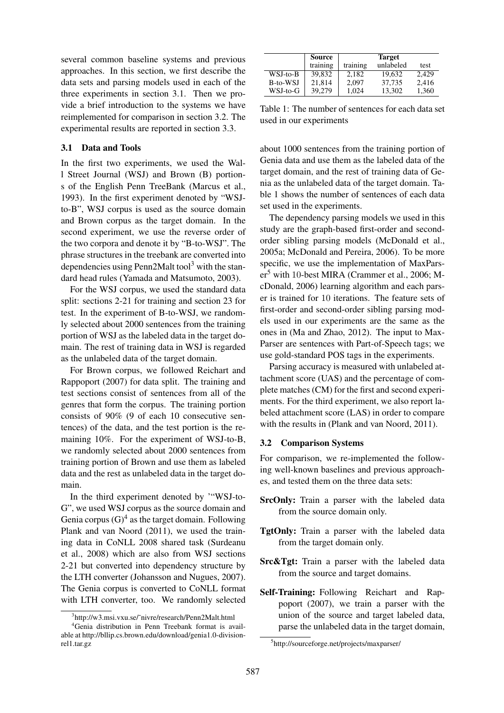several common baseline systems and previous approaches. In this section, we first describe the data sets and parsing models used in each of the three experiments in section 3.1. Then we provide a brief introduction to the systems we have reimplemented for comparison in section 3.2. The experimental results are reported in section 3.3.

#### 3.1 Data and Tools

In the first two experiments, we used the Wall Street Journal (WSJ) and Brown (B) portions of the English Penn TreeBank (Marcus et al., 1993). In the first experiment denoted by "WSJto-B", WSJ corpus is used as the source domain and Brown corpus as the target domain. In the second experiment, we use the reverse order of the two corpora and denote it by "B-to-WSJ". The phrase structures in the treebank are converted into dependencies using Penn2Malt tool<sup>3</sup> with the standard head rules (Yamada and Matsumoto, 2003).

For the WSJ corpus, we used the standard data split: sections 2-21 for training and section 23 for test. In the experiment of B-to-WSJ, we randomly selected about 2000 sentences from the training portion of WSJ as the labeled data in the target domain. The rest of training data in WSJ is regarded as the unlabeled data of the target domain.

For Brown corpus, we followed Reichart and Rappoport (2007) for data split. The training and test sections consist of sentences from all of the genres that form the corpus. The training portion consists of 90% (9 of each 10 consecutive sentences) of the data, and the test portion is the remaining 10%. For the experiment of WSJ-to-B, we randomly selected about 2000 sentences from training portion of Brown and use them as labeled data and the rest as unlabeled data in the target domain.

In the third experiment denoted by '"WSJ-to-G", we used WSJ corpus as the source domain and Genia corpus  $(G)^4$  as the target domain. Following Plank and van Noord (2011), we used the training data in CoNLL 2008 shared task (Surdeanu et al., 2008) which are also from WSJ sections 2-21 but converted into dependency structure by the LTH converter (Johansson and Nugues, 2007). The Genia corpus is converted to CoNLL format with LTH converter, too. We randomly selected

|          | Source   | <b>Target</b> |           |       |
|----------|----------|---------------|-----------|-------|
|          | training | training      | unlabeled | test  |
| WSJ-to-B | 39,832   | 2.182         | 19.632    | 2.429 |
| B-to-WSJ | 21.814   | 2.097         | 37.735    | 2,416 |
| WSJ-to-G | 39.279   | 1.024         | 13.302    | 1,360 |

Table 1: The number of sentences for each data set used in our experiments

about 1000 sentences from the training portion of Genia data and use them as the labeled data of the target domain, and the rest of training data of Genia as the unlabeled data of the target domain. Table 1 shows the number of sentences of each data set used in the experiments.

The dependency parsing models we used in this study are the graph-based first-order and secondorder sibling parsing models (McDonald et al., 2005a; McDonald and Pereira, 2006). To be more specific, we use the implementation of MaxPars $er<sup>5</sup>$  with 10-best MIRA (Crammer et al., 2006; McDonald, 2006) learning algorithm and each parser is trained for 10 iterations. The feature sets of first-order and second-order sibling parsing models used in our experiments are the same as the ones in (Ma and Zhao, 2012). The input to Max-Parser are sentences with Part-of-Speech tags; we use gold-standard POS tags in the experiments.

Parsing accuracy is measured with unlabeled attachment score (UAS) and the percentage of complete matches (CM) for the first and second experiments. For the third experiment, we also report labeled attachment score (LAS) in order to compare with the results in (Plank and van Noord, 2011).

#### 3.2 Comparison Systems

For comparison, we re-implemented the following well-known baselines and previous approaches, and tested them on the three data sets:

- SrcOnly: Train a parser with the labeled data from the source domain only.
- TgtOnly: Train a parser with the labeled data from the target domain only.
- Src&Tgt: Train a parser with the labeled data from the source and target domains.
- Self-Training: Following Reichart and Rappoport (2007), we train a parser with the union of the source and target labeled data, parse the unlabeled data in the target domain,

<sup>3</sup> http://w3.msi.vxu.se/˜nivre/research/Penn2Malt.html

<sup>4</sup>Genia distribution in Penn Treebank format is available at http://bllip.cs.brown.edu/download/genia1.0-divisionrel1.tar.gz

<sup>5</sup> http://sourceforge.net/projects/maxparser/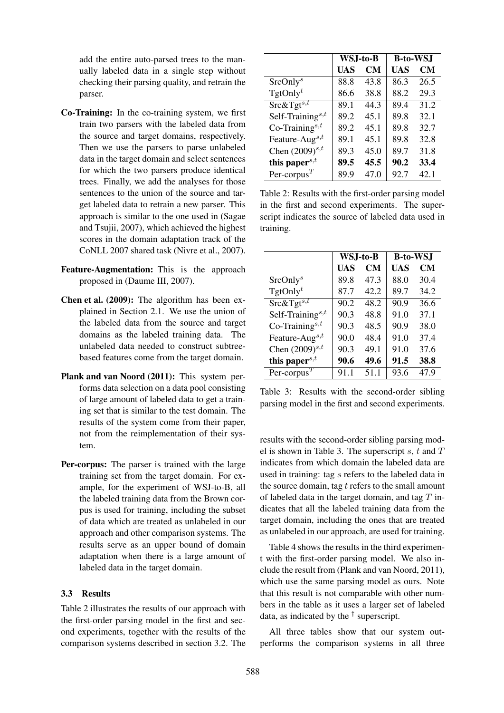add the entire auto-parsed trees to the manually labeled data in a single step without checking their parsing quality, and retrain the parser.

- Co-Training: In the co-training system, we first train two parsers with the labeled data from the source and target domains, respectively. Then we use the parsers to parse unlabeled data in the target domain and select sentences for which the two parsers produce identical trees. Finally, we add the analyses for those sentences to the union of the source and target labeled data to retrain a new parser. This approach is similar to the one used in (Sagae and Tsujii, 2007), which achieved the highest scores in the domain adaptation track of the CoNLL 2007 shared task (Nivre et al., 2007).
- Feature-Augmentation: This is the approach proposed in (Daume III, 2007).
- Chen et al. (2009): The algorithm has been explained in Section 2.1. We use the union of the labeled data from the source and target domains as the labeled training data. The unlabeled data needed to construct subtreebased features come from the target domain.
- Plank and van Noord (2011): This system performs data selection on a data pool consisting of large amount of labeled data to get a training set that is similar to the test domain. The results of the system come from their paper, not from the reimplementation of their system.
- Per-corpus: The parser is trained with the large training set from the target domain. For example, for the experiment of WSJ-to-B, all the labeled training data from the Brown corpus is used for training, including the subset of data which are treated as unlabeled in our approach and other comparison systems. The results serve as an upper bound of domain adaptation when there is a large amount of labeled data in the target domain.

#### 3.3 Results

Table 2 illustrates the results of our approach with the first-order parsing model in the first and second experiments, together with the results of the comparison systems described in section 3.2. The

|                               | WSJ-to-B |           | <b>B-to-WSJ</b> |      |
|-------------------------------|----------|-----------|-----------------|------|
|                               | UAS      | <b>CM</b> | UAS             | CМ   |
| SrcOnly <sup>s</sup>          | 88.8     | 43.8      | 86.3            | 26.5 |
| $TgtOnly^t$                   | 86.6     | 38.8      | 88.2            | 29.3 |
| $Src\&Tgt^{s,t}$              | 89.1     | 44.3      | 89.4            | 31.2 |
| Self-Training <sup>s,t</sup>  | 89.2     | 45.1      | 89.8            | 32.1 |
| $Co$ -Training <sup>s,t</sup> | 89.2     | 45.1      | 89.8            | 32.7 |
| Feature-Aug <sup>s,t</sup>    | 89.1     | 45.1      | 89.8            | 32.8 |
| Chen $(2009)^{s,t}$           | 89.3     | 45.0      | 89.7            | 31.8 |
| this papers, $t$              | 89.5     | 45.5      | 90.2            | 33.4 |
| Per-corpus <sup>T</sup>       | 89.9     | 47.0      | 92.7            | 42.1 |

Table 2: Results with the first-order parsing model in the first and second experiments. The superscript indicates the source of labeled data used in training.

|                                        | WSJ-to-B |           | <b>B-to-WSJ</b> |           |
|----------------------------------------|----------|-----------|-----------------|-----------|
|                                        | UAS      | <b>CM</b> | UAS             | <b>CM</b> |
| SrcOnly <sup>s</sup>                   | 89.8     | 47.3      | 88.0            | 30.4      |
| $TgtOnly^t$                            | 87.7     | 42.2      | 89.7            | 34.2      |
| $Src\&Tgt^{s,t}$                       | 90.2     | 48.2      | 90.9            | 36.6      |
| Self-Training <sup>s,t</sup>           | 90.3     | 48.8      | 91.0            | 37.1      |
| $Co$ -Training <sup>s,t</sup>          | 90.3     | 48.5      | 90.9            | 38.0      |
| Feature-Aug <sup>s,t</sup>             | 90.0     | 48.4      | 91.0            | 37.4      |
| Chen $(2009)^{s,t}$                    | 90.3     | 49.1      | 91.0            | 37.6      |
| this paper <sup>s,<math>t</math></sup> | 90.6     | 49.6      | 91.5            | 38.8      |
| Per-corpus <sup><math>T</math></sup>   | 91.1     | 51.1      | 93.6            | 47.9      |

Table 3: Results with the second-order sibling parsing model in the first and second experiments.

results with the second-order sibling parsing model is shown in Table 3. The superscript s, t and  $T$ indicates from which domain the labeled data are used in training: tag s refers to the labeled data in the source domain, tag  $t$  refers to the small amount of labeled data in the target domain, and tag  $T$  indicates that all the labeled training data from the target domain, including the ones that are treated as unlabeled in our approach, are used for training.

Table 4 shows the results in the third experiment with the first-order parsing model. We also include the result from (Plank and van Noord, 2011), which use the same parsing model as ours. Note that this result is not comparable with other numbers in the table as it uses a larger set of labeled data, as indicated by the † superscript.

All three tables show that our system outperforms the comparison systems in all three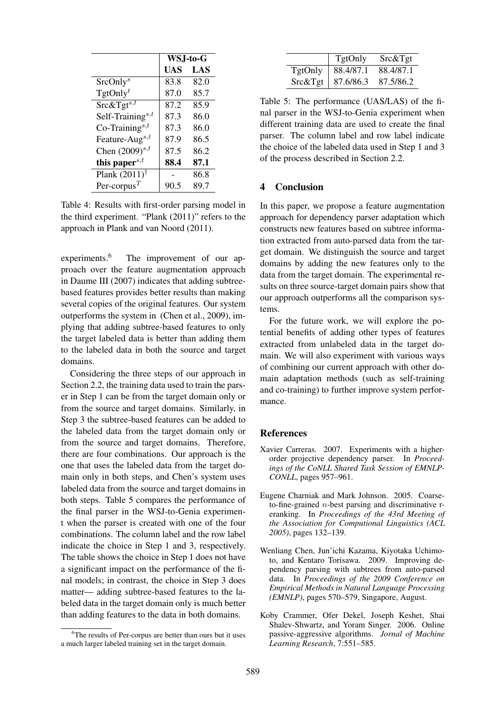|                                      | WSJ-to-G |      |
|--------------------------------------|----------|------|
|                                      | UAS      | LAS  |
| SrcOnly <sup>s</sup>                 | 83.8     | 82.0 |
| TgtOnly <sup>t</sup>                 | 87.0     | 85.7 |
| $Src\&Tgt^{s,t}$                     | 87.2     | 85.9 |
| Self-Training <sup>s,t</sup>         | 87.3     | 86.0 |
| Co-Training <sup>s,t</sup>           | 87.3     | 86.0 |
| Feature-Aug <sup>s,t</sup>           | 87.9     | 86.5 |
| Chen $(2009)^{s,t}$                  | 87.5     | 86.2 |
| this paper $s,t$                     | 88.4     | 87.1 |
| Plank $(2011)$ <sup>†</sup>          |          | 86.8 |
| Per-corpus <sup><math>T</math></sup> |          | 89.7 |

Table 4: Results with first-order parsing model in the third experiment. "Plank (2011)" refers to the approach in Plank and van Noord (2011).

experiments.<sup>6</sup> The improvement of our approach over the feature augmentation approach in Daume III (2007) indicates that adding subtreebased features provides better results than making several copies of the original features. Our system outperforms the system in (Chen et al., 2009), implying that adding subtree-based features to only the target labeled data is better than adding them to the labeled data in both the source and target domains.

Considering the three steps of our approach in Section 2.2, the training data used to train the parser in Step 1 can be from the target domain only or from the source and target domains. Similarly, in Step 3 the subtree-based features can be added to the labeled data from the target domain only or from the source and target domains. Therefore, there are four combinations. Our approach is the one that uses the labeled data from the target domain only in both steps, and Chen's system uses labeled data from the source and target domains in both steps. Table 5 compares the performance of the final parser in the WSJ-to-Genia experiment when the parser is created with one of the four combinations. The column label and the row label indicate the choice in Step 1 and 3, respectively. The table shows the choice in Step 1 does not have a significant impact on the performance of the final models; in contrast, the choice in Step 3 does matter— adding subtree-based features to the labeled data in the target domain only is much better than adding features to the data in both domains.

|         | <b>TgtOnly</b>      | Src&Tgt   |
|---------|---------------------|-----------|
| TgtOnly | 88.4/87.1           | 88.4/87.1 |
|         | Src&Tgt   87.6/86.3 | 87.5/86.2 |

Table 5: The performance (UAS/LAS) of the final parser in the WSJ-to-Genia experiment when different training data are used to create the final parser. The column label and row label indicate the choice of the labeled data used in Step 1 and 3 of the process described in Section 2.2.

#### 4 Conclusion

In this paper, we propose a feature augmentation approach for dependency parser adaptation which constructs new features based on subtree information extracted from auto-parsed data from the target domain. We distinguish the source and target domains by adding the new features only to the data from the target domain. The experimental results on three source-target domain pairs show that our approach outperforms all the comparison systems.

For the future work, we will explore the potential benefits of adding other types of features extracted from unlabeled data in the target domain. We will also experiment with various ways of combining our current approach with other domain adaptation methods (such as self-training and co-training) to further improve system performance.

#### **References**

- Xavier Carreras. 2007. Experiments with a higherorder projective dependency parser. In *Proceedings of the CoNLL Shared Task Session of EMNLP-CONLL*, pages 957–961.
- Eugene Charniak and Mark Johnson. 2005. Coarseto-fine-grained  $n$ -best parsing and discriminative reranking. In *Proceedings of the 43rd Meeting of the Association for Computional Linguistics (ACL 2005)*, pages 132–139.
- Wenliang Chen, Jun'ichi Kazama, Kiyotaka Uchimoto, and Kentaro Torisawa. 2009. Improving dependency parsing with subtrees from auto-parsed data. In *Proceedings of the 2009 Conference on Empirical Methods in Natural Language Processing (EMNLP)*, pages 570–579, Singapore, August.
- Koby Crammer, Ofer Dekel, Joseph Keshet, Shai Shalev-Shwartz, and Yoram Singer. 2006. Online passive-aggressive algorithms. *Jornal of Machine Learning Research*, 7:551–585.

 $6$ The results of Per-corpus are better than ours but it uses a much larger labeled training set in the target domain.